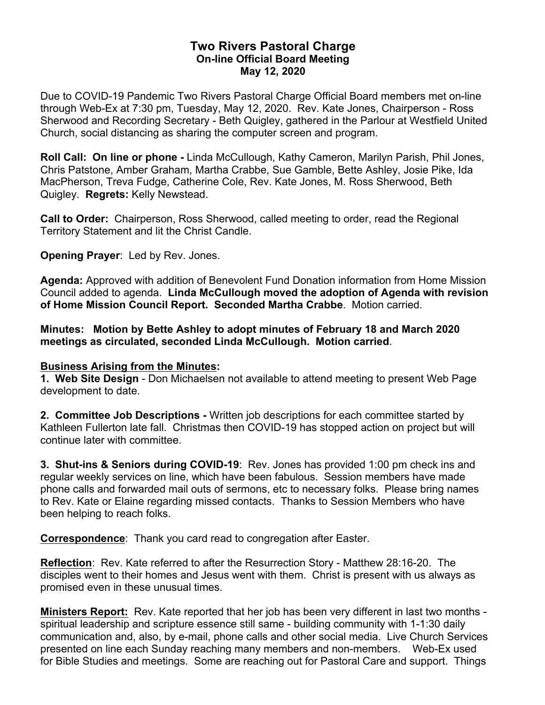## **Two Rivers Pastoral Charge On-line Official Board Meeting May 12, 2020**

Due to COVID-19 Pandemic Two Rivers Pastoral Charge Official Board members met on-line through Web-Ex at 7:30 pm, Tuesday, May 12, 2020. Rev. Kate Jones, Chairperson - Ross Sherwood and Recording Secretary - Beth Quigley, gathered in the Parlour at Westfield United Church, social distancing as sharing the computer screen and program.

**Roll Call: On line or phone -** Linda McCullough, Kathy Cameron, Marilyn Parish, Phil Jones, Chris Patstone, Amber Graham, Martha Crabbe, Sue Gamble, Bette Ashley, Josie Pike, Ida MacPherson, Treva Fudge, Catherine Cole, Rev. Kate Jones, M. Ross Sherwood, Beth Quigley. **Regrets:** Kelly Newstead.

**Call to Order:** Chairperson, Ross Sherwood, called meeting to order, read the Regional Territory Statement and lit the Christ Candle.

**Opening Prayer**: Led by Rev. Jones.

**Agenda:** Approved with addition of Benevolent Fund Donation information from Home Mission Council added to agenda. **Linda McCullough moved the adoption of Agenda with revision of Home Mission Council Report. Seconded Martha Crabbe**. Motion carried.

**Minutes: Motion by Bette Ashley to adopt minutes of February 18 and March 2020 meetings as circulated, seconded Linda McCullough. Motion carried**.

## **Business Arising from the Minutes:**

**1. Web Site Design** - Don Michaelsen not available to attend meeting to present Web Page development to date.

**2. Committee Job Descriptions -** Written job descriptions for each committee started by Kathleen Fullerton late fall. Christmas then COVID-19 has stopped action on project but will continue later with committee.

**3. Shut-ins & Seniors during COVID-19**: Rev. Jones has provided 1:00 pm check ins and regular weekly services on line, which have been fabulous. Session members have made phone calls and forwarded mail outs of sermons, etc to necessary folks. Please bring names to Rev. Kate or Elaine regarding missed contacts. Thanks to Session Members who have been helping to reach folks.

**Correspondence**: Thank you card read to congregation after Easter.

**Reflection**: Rev. Kate referred to after the Resurrection Story - Matthew 28:16-20. The disciples went to their homes and Jesus went with them. Christ is present with us always as promised even in these unusual times.

**Ministers Report:** Rev. Kate reported that her job has been very different in last two months spiritual leadership and scripture essence still same - building community with 1-1:30 daily communication and, also, by e-mail, phone calls and other social media. Live Church Services presented on line each Sunday reaching many members and non-members. Web-Ex used for Bible Studies and meetings. Some are reaching out for Pastoral Care and support. Things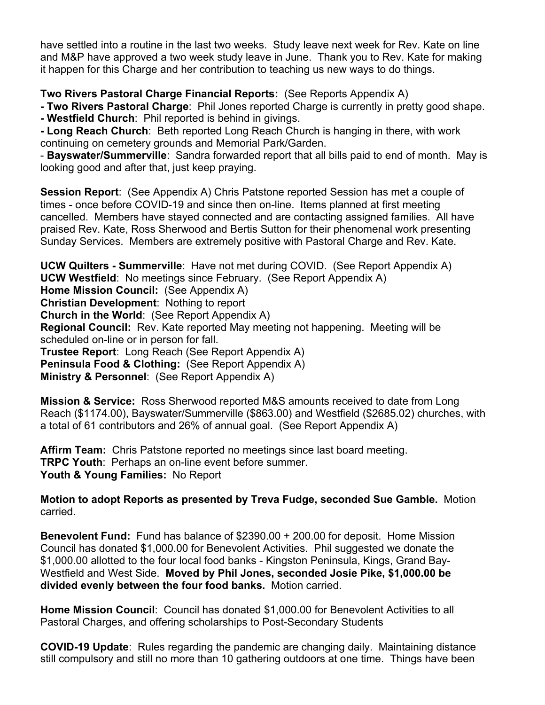have settled into a routine in the last two weeks. Study leave next week for Rev. Kate on line and M&P have approved a two week study leave in June. Thank you to Rev. Kate for making it happen for this Charge and her contribution to teaching us new ways to do things.

## **Two Rivers Pastoral Charge Financial Reports:** (See Reports Appendix A)

**- Two Rivers Pastoral Charge**: Phil Jones reported Charge is currently in pretty good shape. **- Westfield Church**: Phil reported is behind in givings.

**- Long Reach Church**: Beth reported Long Reach Church is hanging in there, with work continuing on cemetery grounds and Memorial Park/Garden.

- **Bayswater/Summerville**: Sandra forwarded report that all bills paid to end of month. May is looking good and after that, just keep praying.

**Session Report**: (See Appendix A) Chris Patstone reported Session has met a couple of times - once before COVID-19 and since then on-line. Items planned at first meeting cancelled. Members have stayed connected and are contacting assigned families. All have praised Rev. Kate, Ross Sherwood and Bertis Sutton for their phenomenal work presenting Sunday Services. Members are extremely positive with Pastoral Charge and Rev. Kate.

**UCW Quilters - Summerville**: Have not met during COVID. (See Report Appendix A) **UCW Westfield**: No meetings since February. (See Report Appendix A) **Home Mission Council:** (See Appendix A) **Christian Development**: Nothing to report **Church in the World**: (See Report Appendix A) **Regional Council:** Rev. Kate reported May meeting not happening. Meeting will be scheduled on-line or in person for fall. **Trustee Report**: Long Reach (See Report Appendix A) **Peninsula Food & Clothing:** (See Report Appendix A) **Ministry & Personnel**: (See Report Appendix A)

**Mission & Service:** Ross Sherwood reported M&S amounts received to date from Long Reach (\$1174.00), Bayswater/Summerville (\$863.00) and Westfield (\$2685.02) churches, with a total of 61 contributors and 26% of annual goal. (See Report Appendix A)

**Affirm Team:** Chris Patstone reported no meetings since last board meeting. **TRPC Youth**: Perhaps an on-line event before summer. **Youth & Young Families:** No Report

**Motion to adopt Reports as presented by Treva Fudge, seconded Sue Gamble.** Motion carried.

**Benevolent Fund:** Fund has balance of \$2390.00 + 200.00 for deposit. Home Mission Council has donated \$1,000.00 for Benevolent Activities. Phil suggested we donate the \$1,000.00 allotted to the four local food banks - Kingston Peninsula, Kings, Grand Bay-Westfield and West Side. **Moved by Phil Jones, seconded Josie Pike, \$1,000.00 be divided evenly between the four food banks.** Motion carried.

**Home Mission Council**: Council has donated \$1,000.00 for Benevolent Activities to all Pastoral Charges, and offering scholarships to Post-Secondary Students

**COVID-19 Update**: Rules regarding the pandemic are changing daily. Maintaining distance still compulsory and still no more than 10 gathering outdoors at one time. Things have been